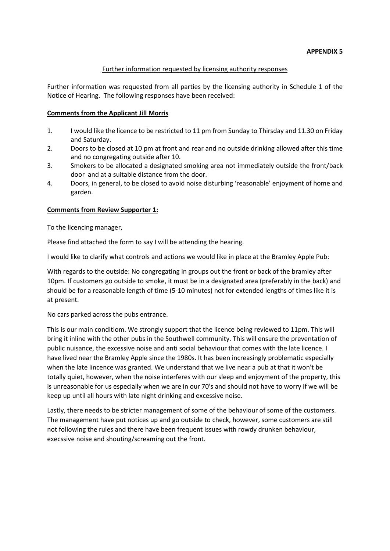### **APPENDIX 5**

#### Further information requested by licensing authority responses

Further information was requested from all parties by the licensing authority in Schedule 1 of the Notice of Hearing. The following responses have been received:

## **Comments from the Applicant Jill Morris**

- 1. I would like the licence to be restricted to 11 pm from Sunday to Thirsday and 11.30 on Friday and Saturday.
- 2. Doors to be closed at 10 pm at front and rear and no outside drinking allowed after this time and no congregating outside after 10.
- 3. Smokers to be allocated a designated smoking area not immediately outside the front/back door and at a suitable distance from the door.
- 4. Doors, in general, to be closed to avoid noise disturbing 'reasonable' enjoyment of home and garden.

### **Comments from Review Supporter 1:**

To the licencing manager,

Please find attached the form to say I will be attending the hearing.

I would like to clarify what controls and actions we would like in place at the Bramley Apple Pub:

With regards to the outside: No congregating in groups out the front or back of the bramley after 10pm. If customers go outside to smoke, it must be in a designated area (preferably in the back) and should be for a reasonable length of time (5-10 minutes) not for extended lengths of times like it is at present.

No cars parked across the pubs entrance.

This is our main conditiom. We strongly support that the licence being reviewed to 11pm. This will bring it inline with the other pubs in the Southwell community. This will ensure the preventation of public nuisance, the excessive noise and anti social behaviour that comes with the late licence. I have lived near the Bramley Apple since the 1980s. It has been increasingly problematic especially when the late lincence was granted. We understand that we live near a pub at that it won't be totally quiet, however, when the noise interferes with our sleep and enjoyment of the property, this is unreasonable for us especially when we are in our 70's and should not have to worry if we will be keep up until all hours with late night drinking and excessive noise.

Lastly, there needs to be stricter management of some of the behaviour of some of the customers. The management have put notices up and go outside to check, however, some customers are still not following the rules and there have been frequent issues with rowdy drunken behaviour, execssive noise and shouting/screaming out the front.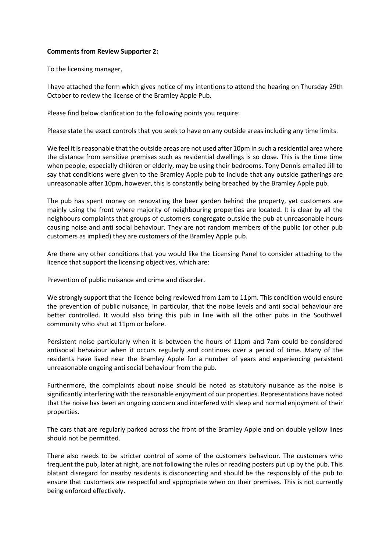## **Comments from Review Supporter 2:**

To the licensing manager,

I have attached the form which gives notice of my intentions to attend the hearing on Thursday 29th October to review the license of the Bramley Apple Pub.

Please find below clarification to the following points you require:

Please state the exact controls that you seek to have on any outside areas including any time limits.

We feel it is reasonable that the outside areas are not used after 10pm in such a residential area where the distance from sensitive premises such as residential dwellings is so close. This is the time time when people, especially children or elderly, may be using their bedrooms. Tony Dennis emailed Jill to say that conditions were given to the Bramley Apple pub to include that any outside gatherings are unreasonable after 10pm, however, this is constantly being breached by the Bramley Apple pub.

The pub has spent money on renovating the beer garden behind the property, yet customers are mainly using the front where majority of neighbouring properties are located. It is clear by all the neighbours complaints that groups of customers congregate outside the pub at unreasonable hours causing noise and anti social behaviour. They are not random members of the public (or other pub customers as implied) they are customers of the Bramley Apple pub.

Are there any other conditions that you would like the Licensing Panel to consider attaching to the licence that support the licensing objectives, which are:

Prevention of public nuisance and crime and disorder.

We strongly support that the licence being reviewed from 1am to 11pm. This condition would ensure the prevention of public nuisance, in particular, that the noise levels and anti social behaviour are better controlled. It would also bring this pub in line with all the other pubs in the Southwell community who shut at 11pm or before.

Persistent noise particularly when it is between the hours of 11pm and 7am could be considered antisocial behaviour when it occurs regularly and continues over a period of time. Many of the residents have lived near the Bramley Apple for a number of years and experiencing persistent unreasonable ongoing anti social behaviour from the pub.

Furthermore, the complaints about noise should be noted as statutory nuisance as the noise is significantly interfering with the reasonable enjoyment of our properties. Representations have noted that the noise has been an ongoing concern and interfered with sleep and normal enjoyment of their properties.

The cars that are regularly parked across the front of the Bramley Apple and on double yellow lines should not be permitted.

There also needs to be stricter control of some of the customers behaviour. The customers who frequent the pub, later at night, are not following the rules or reading posters put up by the pub. This blatant disregard for nearby residents is disconcerting and should be the responsibly of the pub to ensure that customers are respectful and appropriate when on their premises. This is not currently being enforced effectively.